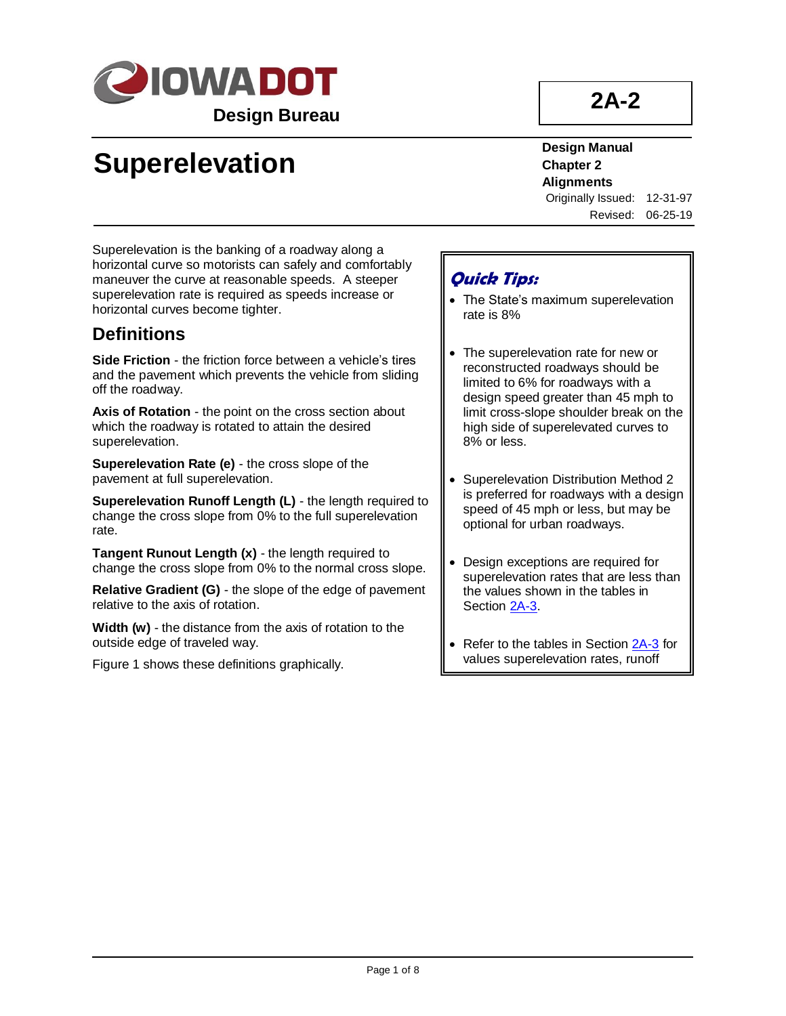

# **2A-2**

# **Superelevation**

**Design Manual Chapter 2 Alignments** Originally Issued: 12-31-97

Revised: 06-25-19

Superelevation is the banking of a roadway along a horizontal curve so motorists can safely and comfortably maneuver the curve at reasonable speeds. A steeper superelevation rate is required as speeds increase or horizontal curves become tighter.

# **Definitions**

**Side Friction** - the friction force between a vehicle's tires and the pavement which prevents the vehicle from sliding off the roadway.

**Axis of Rotation** - the point on the cross section about which the roadway is rotated to attain the desired superelevation.

**Superelevation Rate (e)** - the cross slope of the pavement at full superelevation.

**Superelevation Runoff Length (L)** - the length required to change the cross slope from 0% to the full superelevation rate.

**Tangent Runout Length (x)** - the length required to change the cross slope from 0% to the normal cross slope.

**Relative Gradient (G)** - the slope of the edge of pavement relative to the axis of rotation.

**Width (w)** - the distance from the axis of rotation to the outside edge of traveled way.

Figure 1 shows these definitions graphically.

# **Quick Tips:**

- The State's maximum superelevation rate is 8%
- The superelevation rate for new or reconstructed roadways should be limited to 6% for roadways with a design speed greater than 45 mph to limit cross-slope shoulder break on the high side of superelevated curves to 8% or less.
- Superelevation Distribution Method 2 is preferred for roadways with a design speed of 45 mph or less, but may be optional for urban roadways.
- Design exceptions are required for superelevation rates that are less than the values shown in the tables in Section [2A-3.](02a-03.pdf)
- Refer to the tables in Section [2A-3](02a-03.pdf) for values superelevation rates, runoff

lengths, and runout lengths.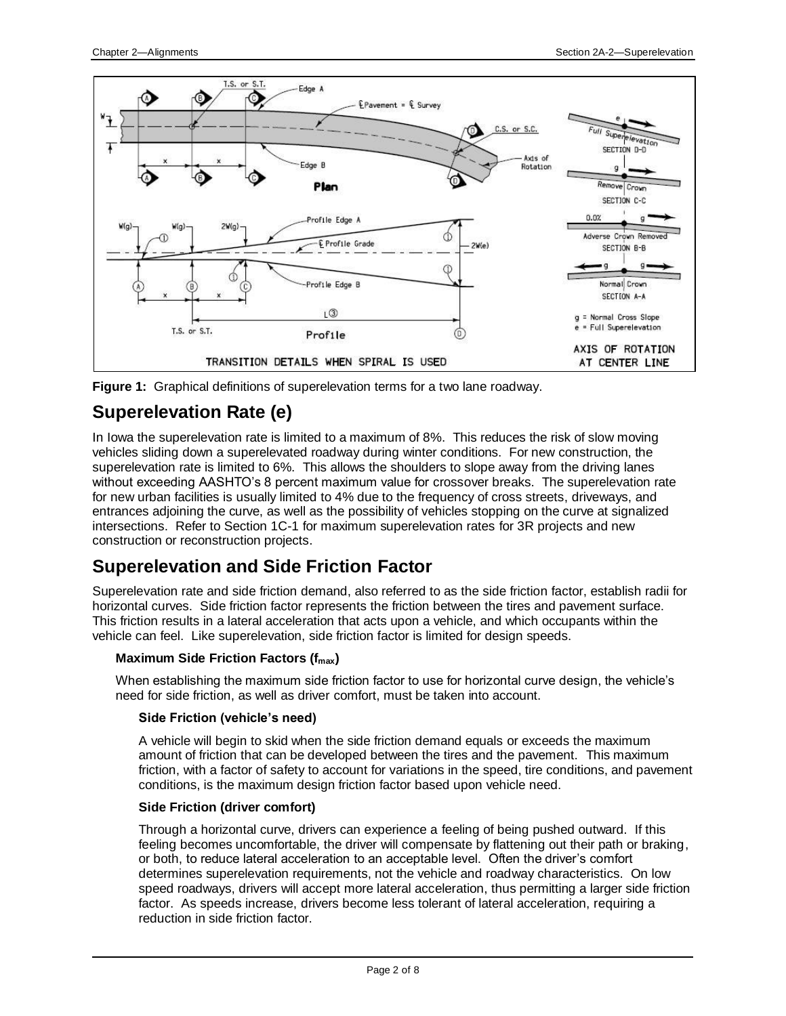



# **Superelevation Rate (e)**

In Iowa the superelevation rate is limited to a maximum of 8%. This reduces the risk of slow moving vehicles sliding down a superelevated roadway during winter conditions. For new construction, the superelevation rate is limited to 6%. This allows the shoulders to slope away from the driving lanes without exceeding AASHTO's 8 percent maximum value for crossover breaks. The superelevation rate for new urban facilities is usually limited to 4% due to the frequency of cross streets, driveways, and entrances adjoining the curve, as well as the possibility of vehicles stopping on the curve at signalized intersections. Refer to Section 1C-1 for maximum superelevation rates for 3R projects and new construction or reconstruction projects.

# **Superelevation and Side Friction Factor**

Superelevation rate and side friction demand, also referred to as the side friction factor, establish radii for horizontal curves. Side friction factor represents the friction between the tires and pavement surface. This friction results in a lateral acceleration that acts upon a vehicle, and which occupants within the vehicle can feel. Like superelevation, side friction factor is limited for design speeds.

## **Maximum Side Friction Factors (fmax)**

When establishing the maximum side friction factor to use for horizontal curve design, the vehicle's need for side friction, as well as driver comfort, must be taken into account.

### **Side Friction (vehicle's need)**

A vehicle will begin to skid when the side friction demand equals or exceeds the maximum amount of friction that can be developed between the tires and the pavement. This maximum friction, with a factor of safety to account for variations in the speed, tire conditions, and pavement conditions, is the maximum design friction factor based upon vehicle need.

### **Side Friction (driver comfort)**

Through a horizontal curve, drivers can experience a feeling of being pushed outward. If this feeling becomes uncomfortable, the driver will compensate by flattening out their path or braking, or both, to reduce lateral acceleration to an acceptable level. Often the driver's comfort determines superelevation requirements, not the vehicle and roadway characteristics. On low speed roadways, drivers will accept more lateral acceleration, thus permitting a larger side friction factor. As speeds increase, drivers become less tolerant of lateral acceleration, requiring a reduction in side friction factor.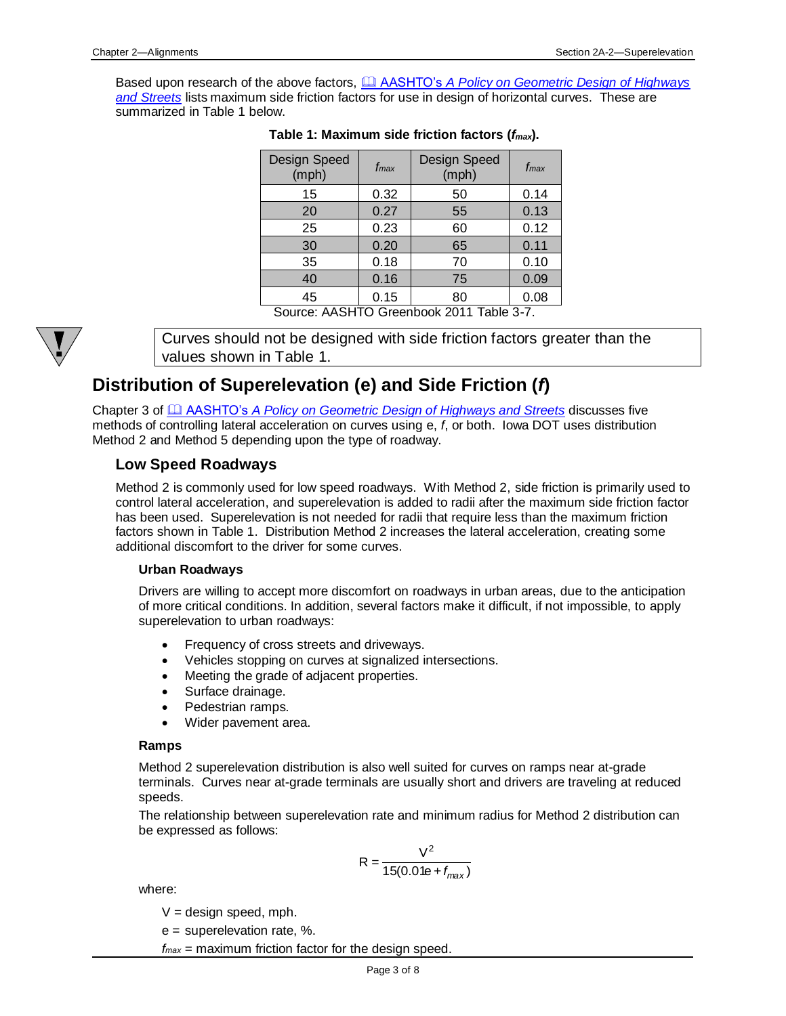Based upon research of the above factors, **A AASHTO's** *A Policy on Geometric Design of Highways [and Streets](01b-01/APolicyonGeometricDesign.pdf)* lists maximum side friction factors for use in design of horizontal curves. These are summarized in Table 1 below.

| Design Speed<br>(mph) | fmax   | <b>Design Speed</b><br>(mph) | f <sub>max</sub> |
|-----------------------|--------|------------------------------|------------------|
| 15                    | 0.32   | 50                           | 0.14             |
| 20                    | 0.27   | 55                           | 0.13             |
| 25                    | 0.23   | 60                           | 0.12             |
| 30                    | 0.20   | 65                           | 0.11             |
| 35                    | 0.18   | 70                           | 0.10             |
| 40                    | 0.16   | 75                           | 0.09             |
| 45                    | 0.15   | 80                           | 0.08             |
| $\sim$<br>$0.001$ 1   | $\sim$ | $\sim$ 0011 T.L. 0.7         |                  |

|  |  | Table 1: Maximum side friction factors ( $f_{\mathit{max}}$ ). |  |  |  |  |
|--|--|----------------------------------------------------------------|--|--|--|--|
|--|--|----------------------------------------------------------------|--|--|--|--|

Source: AASHTO Greenbook 2011 Table 3-7.



Curves should not be designed with side friction factors greater than the values shown in Table 1.

# **Distribution of Superelevation (e) and Side Friction (***f***)**

Chapter 3 of AASHTO's *[A Policy on Geometric Design of Highways and Streets](01b-01/APolicyonGeometricDesign.pdf)* discusses five methods of controlling lateral acceleration on curves using e, *f*, or both. Iowa DOT uses distribution Method 2 and Method 5 depending upon the type of roadway.

# **Low Speed Roadways**

Method 2 is commonly used for low speed roadways. With Method 2, side friction is primarily used to control lateral acceleration, and superelevation is added to radii after the maximum side friction factor has been used. Superelevation is not needed for radii that require less than the maximum friction factors shown in Table 1. Distribution Method 2 increases the lateral acceleration, creating some additional discomfort to the driver for some curves.

### **Urban Roadways**

Drivers are willing to accept more discomfort on roadways in urban areas, due to the anticipation of more critical conditions. In addition, several factors make it difficult, if not impossible, to apply superelevation to urban roadways:

- Frequency of cross streets and driveways.
- Vehicles stopping on curves at signalized intersections.
- Meeting the grade of adjacent properties.
- Surface drainage.
- Pedestrian ramps.
- Wider pavement area.

#### **Ramps**

Method 2 superelevation distribution is also well suited for curves on ramps near at-grade terminals. Curves near at-grade terminals are usually short and drivers are traveling at reduced speeds.

The relationship between superelevation rate and minimum radius for Method 2 distribution can be expressed as follows:

$$
R = \frac{V^2}{15(0.01e + f_{max})}
$$

where:

 $V =$  design speed, mph.

e = superelevation rate, %.

*fmax* = maximum friction factor for the design speed.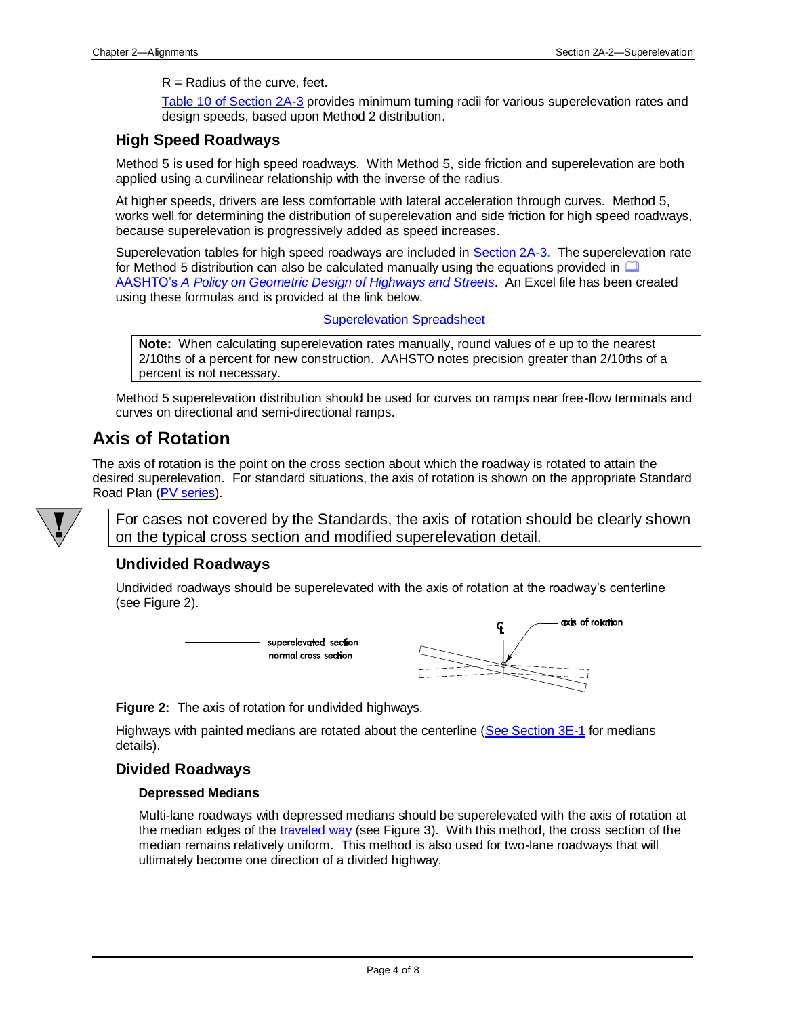#### $R =$ Radius of the curve, feet.

Table 10 [of Section 2A-3](02a-03.pdf) provides minimum turning radii for various superelevation rates and design speeds, based upon Method 2 distribution.

### **High Speed Roadways**

Method 5 is used for high speed roadways. With Method 5, side friction and superelevation are both applied using a curvilinear relationship with the inverse of the radius.

At higher speeds, drivers are less comfortable with lateral acceleration through curves. Method 5, works well for determining the distribution of superelevation and side friction for high speed roadways, because superelevation is progressively added as speed increases.

Superelevation tables for high speed roadways are included in [Section 2A-3.](02a-03.pdf) The superelevation rate for Method 5 distribution can also be calculated manually using the equations provided in  $\Box$ AASHTO's *[A Policy on Geometric Design of Highways and Streets](01b-01/APolicyonGeometricDesign.pdf)*. An Excel file has been created using these formulas and is provided at the link below.

[Superelevation Spreadsheet](02A-02/SuperelevationCalculation.xls)

**Note:** When calculating superelevation rates manually, round values of e up to the nearest 2/10ths of a percent for new construction. AAHSTO notes precision greater than 2/10ths of a percent is not necessary.

Method 5 superelevation distribution should be used for curves on ramps near free-flow terminals and curves on directional and semi-directional ramps.

# **Axis of Rotation**

The axis of rotation is the point on the cross section about which the roadway is rotated to attain the desired superelevation. For standard situations, the axis of rotation is shown on the appropriate Standard Road Plan [\(PV series\)](../stdplne_pv).



For cases not covered by the Standards, the axis of rotation should be clearly shown on the typical cross section and modified superelevation detail.

## **Undivided Roadways**

Undivided roadways should be superelevated with the axis of rotation at the roadway's centerline (see Figure 2).



**Figure 2:** The axis of rotation for undivided highways.

Highways with painted medians are rotated about the centerline [\(See Section 3E-1](03e-01.pdf) for medians details).

## **Divided Roadways**

#### **Depressed Medians**

Multi-lane roadways with depressed medians should be superelevated with the axis of rotation at the median edges of the [traveled way](01b-01/TraveledWay.pdf) (see Figure 3). With this method, the cross section of the median remains relatively uniform. This method is also used for two-lane roadways that will ultimately become one direction of a divided highway.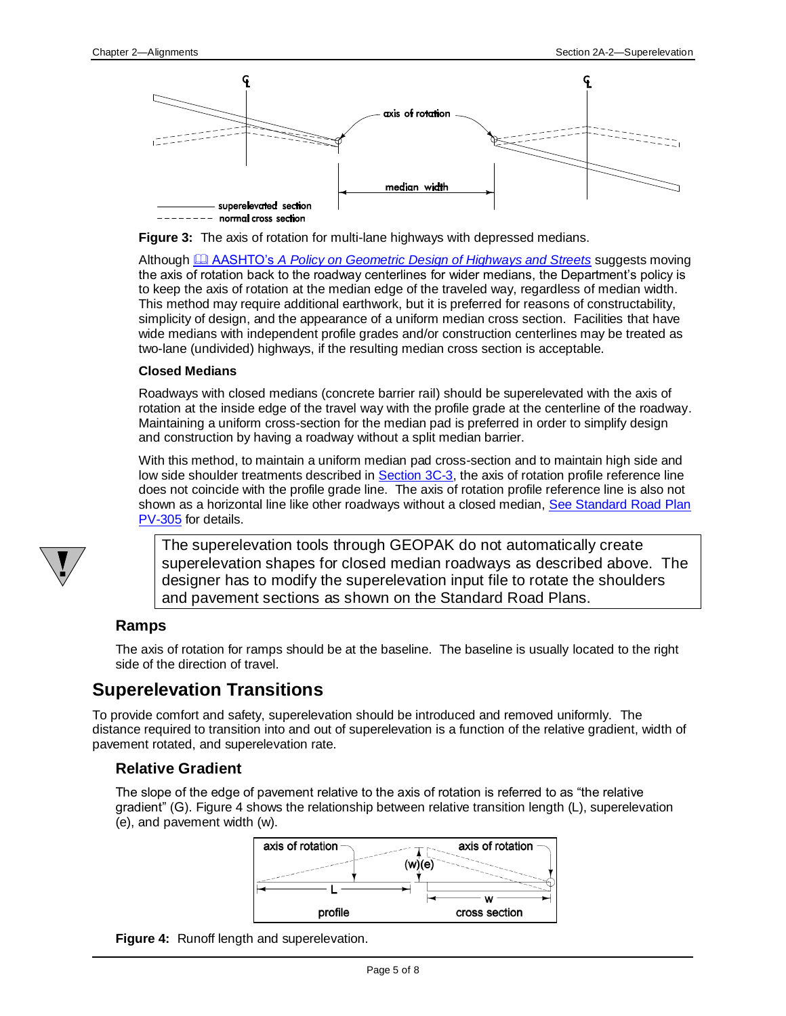



Although AASHTO's *[A Policy on Geometric Design of Highways and Streets](01b-01/APolicyonGeometricDesign.pdf)* suggests moving the axis of rotation back to the roadway centerlines for wider medians, the Department's policy is to keep the axis of rotation at the median edge of the traveled way, regardless of median width. This method may require additional earthwork, but it is preferred for reasons of constructability, simplicity of design, and the appearance of a uniform median cross section. Facilities that have wide medians with independent profile grades and/or construction centerlines may be treated as two-lane (undivided) highways, if the resulting median cross section is acceptable.

#### **Closed Medians**

Roadways with closed medians (concrete barrier rail) should be superelevated with the axis of rotation at the inside edge of the travel way with the profile grade at the centerline of the roadway. Maintaining a uniform cross-section for the median pad is preferred in order to simplify design and construction by having a roadway without a split median barrier.

With this method, to maintain a uniform median pad cross-section and to maintain high side and low side shoulder treatments described in [Section 3C-3,](03c-03.pdf) the axis of rotation profile reference line does not coincide with the profile grade line. The axis of rotation profile reference line is also not shown as a horizontal line like other roadways without a closed median, See Standard Road Plan [PV-305](../SRP/IndividualStandards/epv305.pdf) for details.



The superelevation tools through GEOPAK do not automatically create superelevation shapes for closed median roadways as described above. The designer has to modify the superelevation input file to rotate the shoulders and pavement sections as shown on the Standard Road Plans.

## **Ramps**

The axis of rotation for ramps should be at the baseline. The baseline is usually located to the right side of the direction of travel.

# **Superelevation Transitions**

To provide comfort and safety, superelevation should be introduced and removed uniformly. The distance required to transition into and out of superelevation is a function of the relative gradient, width of pavement rotated, and superelevation rate.

## **Relative Gradient**

The slope of the edge of pavement relative to the axis of rotation is referred to as "the relative gradient" (G). Figure 4 shows the relationship between relative transition length (L), superelevation (e), and pavement width (w).



**Figure 4:** Runoff length and superelevation.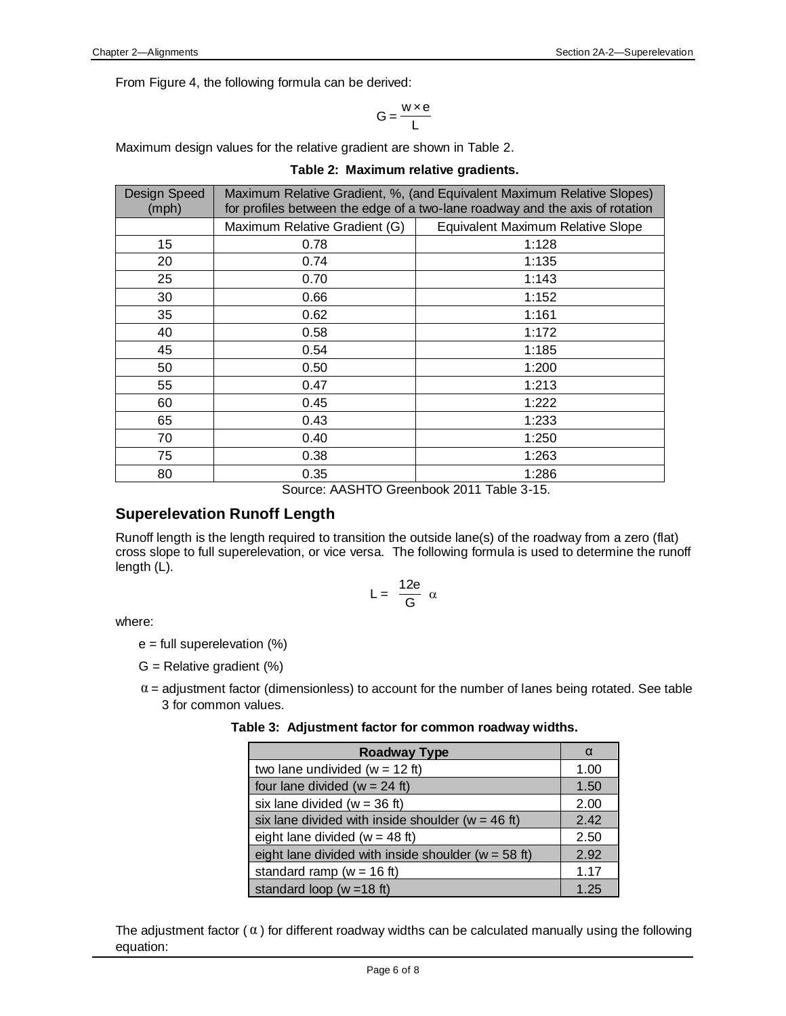$$
G = \frac{w \times e}{L}
$$

Maximum design values for the relative gradient are shown in Table 2.

|  | Table 2: Maximum relative gradients. |  |  |
|--|--------------------------------------|--|--|
|--|--------------------------------------|--|--|

| Design Speed<br>(mph) | Maximum Relative Gradient, %, (and Equivalent Maximum Relative Slopes)<br>for profiles between the edge of a two-lane roadway and the axis of rotation |                                          |  |
|-----------------------|--------------------------------------------------------------------------------------------------------------------------------------------------------|------------------------------------------|--|
|                       | Maximum Relative Gradient (G)                                                                                                                          | <b>Equivalent Maximum Relative Slope</b> |  |
| 15                    | 0.78                                                                                                                                                   | 1:128                                    |  |
| 20                    | 0.74                                                                                                                                                   | 1:135                                    |  |
| 25                    | 0.70                                                                                                                                                   | 1:143                                    |  |
| 30                    | 0.66                                                                                                                                                   | 1:152                                    |  |
| 35                    | 0.62                                                                                                                                                   | 1:161                                    |  |
| 40                    | 0.58                                                                                                                                                   | 1:172                                    |  |
| 45                    | 0.54                                                                                                                                                   | 1:185                                    |  |
| 50                    | 0.50                                                                                                                                                   | 1:200                                    |  |
| 55                    | 0.47                                                                                                                                                   | 1:213                                    |  |
| 60                    | 0.45                                                                                                                                                   | 1:222                                    |  |
| 65                    | 0.43                                                                                                                                                   | 1:233                                    |  |
| 70                    | 0.40                                                                                                                                                   | 1:250                                    |  |
| 75                    | 0.38                                                                                                                                                   | 1:263                                    |  |
| 80                    | 0.35                                                                                                                                                   | 1:286                                    |  |

Source: AASHTO Greenbook 2011 Table 3-15.

## **Superelevation Runoff Length**

Runoff length is the length required to transition the outside lane(s) of the roadway from a zero (flat) cross slope to full superelevation, or vice versa. The following formula is used to determine the runoff length (L).

$$
L = \frac{12e}{G} \alpha
$$

where:

- $e =$  full superelevation  $(\%)$
- $G =$  Relative gradient  $(\%)$
- $\alpha$  = adjustment factor (dimensionless) to account for the number of lanes being rotated. See table 3 for common values.

|  | Table 3: Adjustment factor for common roadway widths. |  |  |
|--|-------------------------------------------------------|--|--|
|--|-------------------------------------------------------|--|--|

| <b>Roadway Type</b>                                    | α    |
|--------------------------------------------------------|------|
| two lane undivided ( $w = 12$ ft)                      | 1.00 |
| four lane divided ( $w = 24$ ft)                       | 1.50 |
| six lane divided ( $w = 36$ ft)                        | 2.00 |
| six lane divided with inside shoulder ( $w = 46$ ft)   | 2.42 |
| eight lane divided ( $w = 48$ ft)                      | 2.50 |
| eight lane divided with inside shoulder ( $w = 58$ ft) | 2.92 |
| standard ramp ( $w = 16$ ft)                           | 1.17 |
| standard loop ( $w = 18$ ft)                           | 1.25 |

The adjustment factor ( $\alpha$ ) for different roadway widths can be calculated manually using the following equation: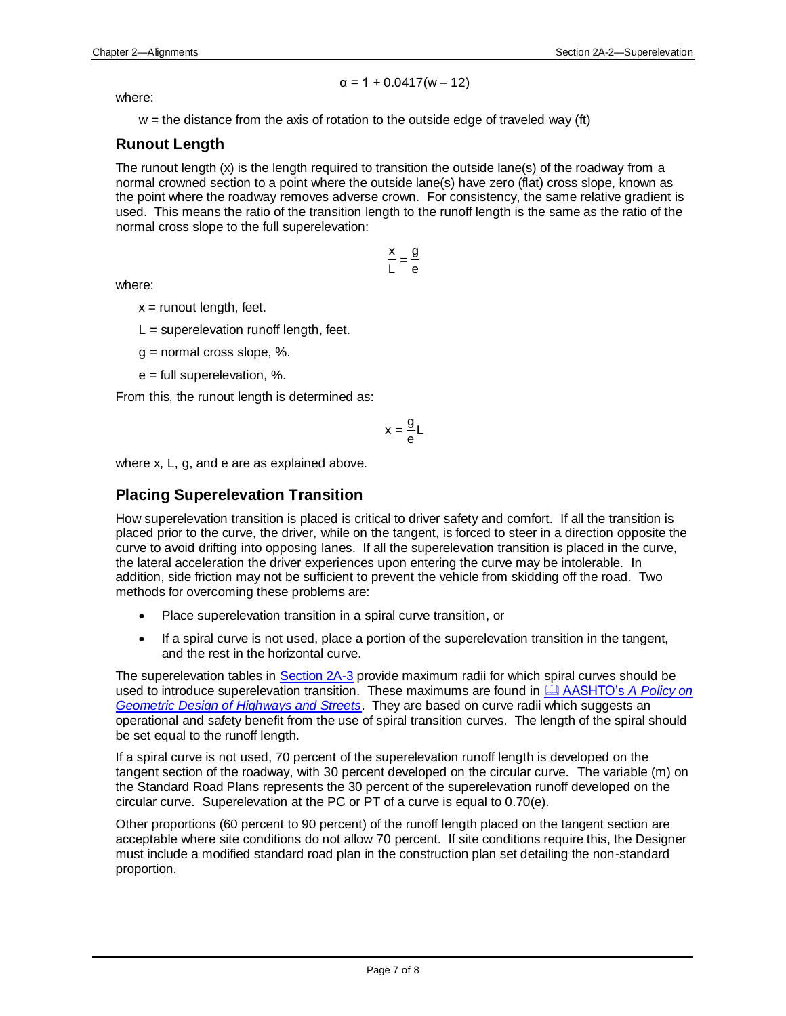$$
\alpha = 1 + 0.0417(w - 12)
$$

where:

 $w =$  the distance from the axis of rotation to the outside edge of traveled way (ft)

# **Runout Length**

The runout length (x) is the length required to transition the outside lane(s) of the roadway from a normal crowned section to a point where the outside lane(s) have zero (flat) cross slope, known as the point where the roadway removes adverse crown. For consistency, the same relative gradient is used. This means the ratio of the transition length to the runoff length is the same as the ratio of the normal cross slope to the full superelevation:

> e  $\frac{x}{L} = \frac{g}{e}$ x

where:

 $x =$  runout length, feet.

 $L =$  superelevation runoff length, feet.

 $g$  = normal cross slope, %.

e = full superelevation, %.

From this, the runout length is determined as:

$$
x = \frac{g}{e}L
$$

where x, L, g, and e are as explained above.

# **Placing Superelevation Transition**

How superelevation transition is placed is critical to driver safety and comfort. If all the transition is placed prior to the curve, the driver, while on the tangent, is forced to steer in a direction opposite the curve to avoid drifting into opposing lanes. If all the superelevation transition is placed in the curve, the lateral acceleration the driver experiences upon entering the curve may be intolerable. In addition, side friction may not be sufficient to prevent the vehicle from skidding off the road. Two methods for overcoming these problems are:

- Place superelevation transition in a spiral curve transition, or
- If a spiral curve is not used, place a portion of the superelevation transition in the tangent, and the rest in the horizontal curve.

The superelevation tables in [Section 2A-3](02a-03.pdf) provide maximum radii for which spiral curves should be used to introduce superelevation transition. These maximums are found in **EL AASHTO's A Policy on** *[Geometric Design of Highways and Streets](01b-01/APolicyonGeometricDesign.pdf)*. They are based on curve radii which suggests an operational and safety benefit from the use of spiral transition curves. The length of the spiral should be set equal to the runoff length.

If a spiral curve is not used, 70 percent of the superelevation runoff length is developed on the tangent section of the roadway, with 30 percent developed on the circular curve. The variable (m) on the Standard Road Plans represents the 30 percent of the superelevation runoff developed on the circular curve. Superelevation at the PC or PT of a curve is equal to 0.70(e).

Other proportions (60 percent to 90 percent) of the runoff length placed on the tangent section are acceptable where site conditions do not allow 70 percent. If site conditions require this, the Designer must include a modified standard road plan in the construction plan set detailing the non-standard proportion.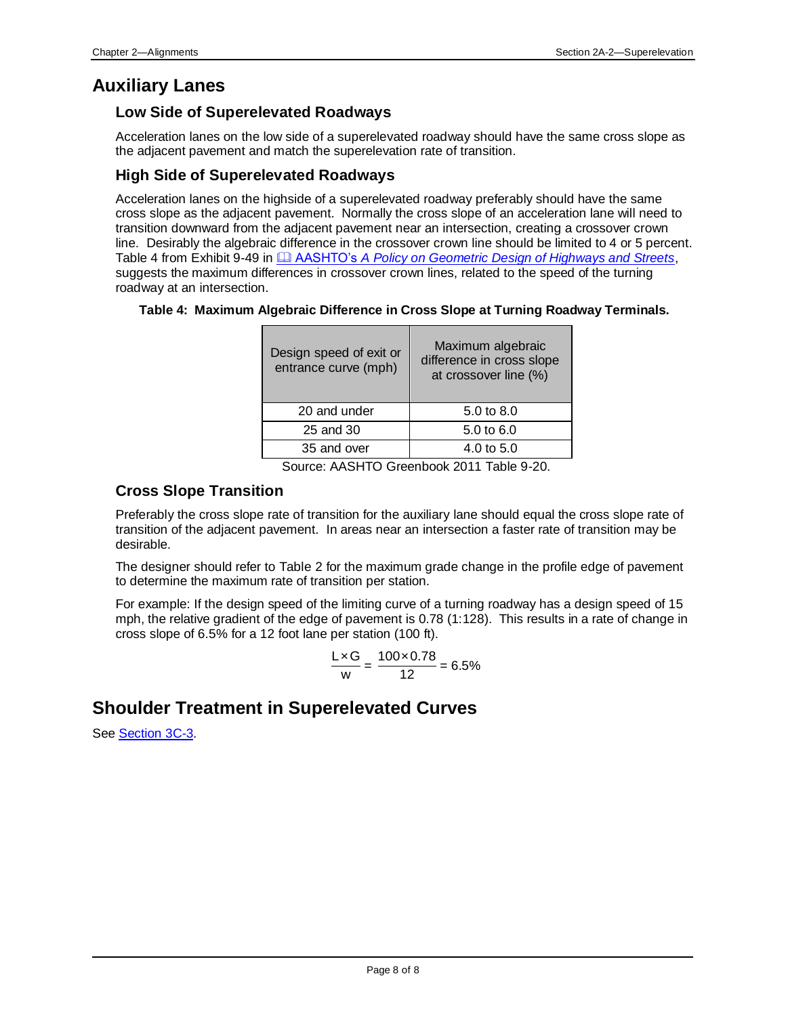# **Auxiliary Lanes**

# **Low Side of Superelevated Roadways**

Acceleration lanes on the low side of a superelevated roadway should have the same cross slope as the adjacent pavement and match the superelevation rate of transition.

# **High Side of Superelevated Roadways**

Acceleration lanes on the highside of a superelevated roadway preferably should have the same cross slope as the adjacent pavement. Normally the cross slope of an acceleration lane will need to transition downward from the adjacent pavement near an intersection, creating a crossover crown line. Desirably the algebraic difference in the crossover crown line should be limited to 4 or 5 percent. Table 4 from Exhibit 9-49 in AASHTO's *[A Policy on Geometric Design of Highways and Streets](01b-01/APolicyonGeometricDesign.pdf)*, suggests the maximum differences in crossover crown lines, related to the speed of the turning roadway at an intersection.

### **Table 4: Maximum Algebraic Difference in Cross Slope at Turning Roadway Terminals.**

| Design speed of exit or<br>entrance curve (mph) | Maximum algebraic<br>difference in cross slope<br>at crossover line (%) |
|-------------------------------------------------|-------------------------------------------------------------------------|
| 20 and under                                    | 5.0 to 8.0                                                              |
| 25 and 30                                       | 5.0 to 6.0                                                              |
| 35 and over                                     | 4.0 to $5.0$                                                            |

Source: AASHTO Greenbook 2011 Table 9-20.

# **Cross Slope Transition**

Preferably the cross slope rate of transition for the auxiliary lane should equal the cross slope rate of transition of the adjacent pavement. In areas near an intersection a faster rate of transition may be desirable.

The designer should refer to Table 2 for the maximum grade change in the profile edge of pavement to determine the maximum rate of transition per station.

For example: If the design speed of the limiting curve of a turning roadway has a design speed of 15 mph, the relative gradient of the edge of pavement is 0.78 (1:128). This results in a rate of change in cross slope of 6.5% for a 12 foot lane per station (100 ft).

$$
\frac{\mathsf{L} \times \mathsf{G}}{\mathsf{w}} = \frac{100 \times 0.78}{12} = 6.5\%
$$

# **Shoulder Treatment in Superelevated Curves**

See [Section 3C-3.](03c-03.pdf)